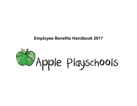## **Employee Benefits Handbook 2017**

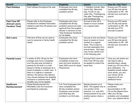| <b>Benefit</b>                                                  | <b>Description</b>                                                                                                                                                                                                                                                                                                                                                                                  | <b>Eligibility</b>                                                                                                                                                                | <b>Details</b>                                                                                                                                                                                                      | <b>How Do I Get This?</b>                                                                                                                                                                                                                            |
|-----------------------------------------------------------------|-----------------------------------------------------------------------------------------------------------------------------------------------------------------------------------------------------------------------------------------------------------------------------------------------------------------------------------------------------------------------------------------------------|-----------------------------------------------------------------------------------------------------------------------------------------------------------------------------------|---------------------------------------------------------------------------------------------------------------------------------------------------------------------------------------------------------------------|------------------------------------------------------------------------------------------------------------------------------------------------------------------------------------------------------------------------------------------------------|
| <b>Paid Holidays</b>                                            | Paid holidays throughout the year.                                                                                                                                                                                                                                                                                                                                                                  | Employees who have<br>completed the 90-day<br>probation period.                                                                                                                   | 7 Holidays include: New<br>Year's Day, Memorial<br>Day, Fourth of July,<br>Labor Day, Thanksgiving,<br>Day after Thanksgiving<br>and Christmas Day                                                                  | Ensure your PD sends<br>your 90 day trial period<br>confirmation to HR. HR<br>will add your accruals to<br>payroll.                                                                                                                                  |
| <b>Paid Time Off</b><br>(Annual Leave,<br><b>Vacation Time)</b> | Please refer to the Employee<br>Handbook for detailed information<br>related to paid time off policies and<br>procedures.                                                                                                                                                                                                                                                                           | Employees who have<br>completed the 90-day<br>probation period and seek<br>approval from the program<br>director in advance of use.<br>*See Employee Handbook<br>for full details | Accrual of time off is<br>based on hours worked<br>on a regular basis.                                                                                                                                              | Ensure your PD sends<br>your 90 day trial period<br>confirmation to HR. HR<br>will add your PTO<br>accruals to payroll.                                                                                                                              |
| <b>Sick Leave</b>                                               | Paid time off that can be used to<br>care for personal or family health<br>needs.                                                                                                                                                                                                                                                                                                                   | Employees who have<br>completed the 90-day<br>probation period.                                                                                                                   | Accrual of sick and illness<br>leave is based on hours<br>worked on a regular<br>basis. This is leave is<br>accrued separately from<br>annual leave. Sick days<br>may not be carried over<br>to the following year. | Ensure your PD sends<br>your 90 day trial period<br>confirmation to HR. HR<br>will add your accruals to<br>payroll.                                                                                                                                  |
| <b>Parental Leave</b>                                           | 4 weeks of 50% off pay for the<br>average work hours completed<br>over the past year provided to<br>parents for the birth or a child<br>placed in family of employee as a<br>result of adoption or foster care. If<br>there is a vaginal or cesarean<br>delivery, the person who delivers<br>may choose between the disability<br>insurance or parental leave. Both<br>benefits may not be applied. | Employees who have<br>completed at least one<br>year and have worked at<br>least 2000 hours for Apple<br>Playschools.                                                             | Accrued Sick Leave and<br>Paid Time Off may also<br>be applied to extend the<br>leave time.                                                                                                                         | Once you are aware you<br>will need to take a<br>parental leave, please<br>email your PD and HR to<br>give notification. If a<br>disability benefit makes<br>more sense, you and<br>your doctor will be<br>required to fill out<br>additional forms. |
| <b>Healthcare</b><br><b>Reimbursement</b>                       | Partial Reimbursement for<br>Affordable Care Act insurance<br>purchased by employee.                                                                                                                                                                                                                                                                                                                | Full Time Employees who<br>have completed the<br>90-day probation period.<br>Employee must provide<br>proof that they are<br>enrolled in an ACA plan.                             | Reimbursement up to<br>\$200. This applies only to<br>your portion of the<br>premium. (i.e. only 50%<br>reimbursement if you and<br>another person share a<br>policy)                                               | Please email your<br>enrollment<br>documentation to HR.<br>Fill out the Stipend form.<br>After your 90 day<br>probation and completed<br>form, your stipend will be                                                                                  |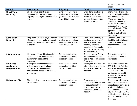|                                                       |                                                                                                                                                   |                                                                                               |                                                                                                                                                                                | applied to your next<br>check.                                                                                                                                                                                                                                                |
|-------------------------------------------------------|---------------------------------------------------------------------------------------------------------------------------------------------------|-----------------------------------------------------------------------------------------------|--------------------------------------------------------------------------------------------------------------------------------------------------------------------------------|-------------------------------------------------------------------------------------------------------------------------------------------------------------------------------------------------------------------------------------------------------------------------------|
| <b>Benefit</b>                                        | <b>Description</b>                                                                                                                                | <b>Eligibility</b>                                                                            | <b>Details</b>                                                                                                                                                                 | <b>How Do I Get This?</b>                                                                                                                                                                                                                                                     |
| <b>Short Term</b><br><b>Disability</b>                | Short Term Disability is an<br>insurance that pays you a portion<br>of your pay after you run out of sick<br>leave.                               | Employees who have<br>worked for at least one<br>year and have worked at<br>least 2000 hours. | Short Term disability is<br>available for a span of<br>weeks to be determined<br>by your doctor and the<br>insurance policy.                                                   | Inform your PD and HR<br>of your medical condition<br>with a doctor's note.<br>When you need the<br>coverage, you and your<br>doctor will fill out forms<br>indicating the time you<br>need off of work. STD<br>typically covers 2-12<br>weeks at 60% of your<br>average pay. |
| <b>Long Term</b><br><b>Disability</b>                 | Long Term Disability pays a portion<br>of your pay once you have run out<br>at both sick time and Short Term<br>Disability.                       | Employees who have<br>worked for at least one<br>year and have worked at<br>least 2000 hours. | Long Term Disability is<br>available for a span of<br>time after short term<br>disability has been<br>completed. Your doctor<br>and the insurance policy<br>will determine it. | Same as Short term<br>disability, but with longer<br>coverage period and<br>possibly different pay<br>rate.                                                                                                                                                                   |
| Life Insurance                                        | Life Insurance provides financial<br>assistance to family members in<br>the untimely death of the<br>employee.                                    | Employees who have<br>completed the 90-day<br>probation period.                               | The insurance offers a<br>\$50,000 benefit and is<br>free to Apple Playschools<br>Employees                                                                                    | This insurance will be<br>applied in the event of<br>your death.                                                                                                                                                                                                              |
| <b>Employee</b><br><b>Assistance</b><br>Program (EAP) | A program that helps employee<br>with personal or work related<br>problems that may impact job<br>performance, health or emotional<br>well-being. | Employees who have<br>completed the 90-day<br>probation period.                               | Employees provided with<br>information in orientation<br>in how to access the<br>services.                                                                                     | To use this service, call<br>877-616-0508. Tell them<br>your employer is Apple<br>Playschools. This<br>service can be used by<br>any immediate family<br>member as well.                                                                                                      |
| <b>Retirement Plan</b>                                | Plan that allows employees to save<br>for retirement.                                                                                             | Employees who have<br>completed the 90-day<br>probation period.                               | Employees who<br>participate will be allowed<br>to deduct funds from<br>paycheck pre-tax to be<br>saved in a retirement<br>account.                                            | To start, you will need to<br>meet with our enrollment<br>specialist and complete a<br>few forms during the<br>open enrollment periods.<br>You will receive snail mail<br>notification; typically Sept<br>1-Oct 30 and again Dec<br>1-Jan 30.                                 |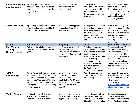| <b>Financial Advising</b><br>and Education                | Apple Playschools will offer<br>financial advising and education<br>through internal and community<br>organizations.                                                                                                                    | Employees who have<br>completed the 90-day<br>probation period.                                                                                             | Employees who<br>participate will be allowed<br>paid time to meet with<br>financial counselors for<br>the purpose of planning<br>sessions.                                                                                                                                       | Meet with the Retirement<br>account advisor, attend<br>financial education<br>seminars. You may also<br>request a 2-3 session<br>individual financial<br>counseling session.                                                                                              |
|-----------------------------------------------------------|-----------------------------------------------------------------------------------------------------------------------------------------------------------------------------------------------------------------------------------------|-------------------------------------------------------------------------------------------------------------------------------------------------------------|----------------------------------------------------------------------------------------------------------------------------------------------------------------------------------------------------------------------------------------------------------------------------------|---------------------------------------------------------------------------------------------------------------------------------------------------------------------------------------------------------------------------------------------------------------------------|
| <b>Short Term Loans</b>                                   | Apple Playschools will offer small<br>short-term loans to be paid back<br>through payroll deductions.                                                                                                                                   | Employees may apply for<br>loans after 6 months of<br>employment.                                                                                           | Employees are expected<br>to honor loan agreement.<br>If the employment ends<br>before the loan is fully<br>paid, employee is<br>responsible for balance of<br>loan.                                                                                                             | Email HR and copy your<br>PD if you are in need of a<br>short term loan. Loans<br>are subject to availability.<br>You may be required to<br>complete budget<br>coaching as a condition<br>of the loan.                                                                    |
| <b>Benefit</b>                                            | <b>Description</b>                                                                                                                                                                                                                      | <b>Eligibility</b>                                                                                                                                          | <b>Details</b>                                                                                                                                                                                                                                                                   | <b>How Do I Get This?</b>                                                                                                                                                                                                                                                 |
| Free Training/<br><b>Training</b><br><b>Reimbursement</b> | Full or partial reimbursement of<br>relevant trainings throughout the<br>year.                                                                                                                                                          | All Employees are eligible<br>for free trainings.<br><b>Training Reimbursement</b><br>is available after 1 year of<br>employment.                           | Reimbursements are<br>based on funds available<br>in the training budget and<br>must be approved in<br>advance. Employees who<br>receive training<br>reimbursement are<br>expected to bring what<br>they have learned back to<br>the Apple Playschools<br>Community and present. | Please email your PD<br>with the specific training<br>you are interested in<br>attending. Approval is<br>contingent upon available<br>funds, your personal<br>employment standing and<br>last performance review,<br>and the applicability to<br>your position and goals. |
| <b>YMCA</b><br><b>Membership</b>                          | Apple Playschools has partnered<br>with the Ann Arbor YMCA to bring<br>you a membership reimbursement,<br>through the Open Arms Program.<br>We believe in making sure all our<br>employees have access to healthy<br>lifestyle options. | Employees who have<br>completed the 90-day<br>probation period must<br>apply to the YMCA Open<br>Arms Program and show<br>proof to receive this<br>benefit. | Apple Playschools will<br>pay the balance of the<br>membership.                                                                                                                                                                                                                  | Download the application,<br>follow the steps and once<br>you get approved, email<br>HR with your<br>determination.<br>www.annarborymca.org/<br>sites/default/files/pdf/ope<br>na                                                                                         |
| <b>Tuition Discount</b>                                   | <b>Reduced Tuition/Sliding Scale</b><br>space in Apple Playschools<br>Program for your own children.                                                                                                                                    | Employees with children<br>up to six years of age may<br>apply. This benefit is                                                                             | <b>Tuition Discount will be</b><br>determined based on<br>family/household income.<br>It is subject to all policies                                                                                                                                                              | To apply, please provide<br>proof of all household<br>income and complete the<br>Sliding Scale application.                                                                                                                                                               |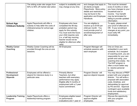|                                                              | The sliding scale rate ranges from<br>50% to 90% off market rate tuition.                                           | subject to availability and<br>may change at any time.                                                                                                                                                                                            | and changes that apply to<br>all clients at Apple<br>Playschools. More policy<br>details and restrictions<br>may be found in the<br>application and Employee<br>Handbook. | This must be renewed<br>every 6 months or when<br>you have changes to your<br>household size or<br>income. Your benefit<br>may be terminated for<br>failing to provide updated<br>information.                                                                         |
|--------------------------------------------------------------|---------------------------------------------------------------------------------------------------------------------|---------------------------------------------------------------------------------------------------------------------------------------------------------------------------------------------------------------------------------------------------|---------------------------------------------------------------------------------------------------------------------------------------------------------------------------|------------------------------------------------------------------------------------------------------------------------------------------------------------------------------------------------------------------------------------------------------------------------|
| <b>School Age</b><br><b>Childcare Subsidy</b>                | Apple Playschools will offer a<br>subsidy to help defer the costs of<br>childcare/camps for school age<br>children. | Employees who have<br>completed the 90-day<br>probation period may<br>apply for this subsidy.<br>You must work the hours<br>your child requires care<br>(i.e. a half day morning<br>teacher would not be<br>eligible for afternoon after<br>care) | You are eligible to<br>receive up to \$100 per<br>child per month. You<br>must provide proof of<br>enrollment/payment of<br>after care.                                   | To apply, please email<br>your proof of aftercare to<br>HR. If your enrollment<br>changes at any point, you<br>must notify HR<br>immediately.                                                                                                                          |
| <b>Weekly Career</b><br>Coaching                             | Weekly Career Coaching will be<br>provided through the one-on-one<br>sessions.                                      | All Employees                                                                                                                                                                                                                                     | Program Manager will<br>schedule sessions with<br>each employee                                                                                                           | One on Ones are<br>embedded in your work<br>schedule. As a recipient<br>of coaching work, you are<br>responsible for your own<br>growth and using your<br>coaching time wisely. the<br>The EAP program is<br>often a much better way<br>to resolve personal<br>issues. |
| <b>Professional</b><br><b>Development</b><br><b>Stipends</b> | Employees will be offered a<br>stipend for intensive study in a<br>particular area.                                 | <b>Primarily Mentor</b><br>Teachers, but other<br>teachers with exemplary<br>performance may apply.<br>Eligible after 6 months of<br>employment with a 2 year<br>future commitment.                                                               | Program Director will<br>approve stipend request.                                                                                                                         | You may discuss a PREP<br>project with your program<br>director. You will write a<br>proposal with associated<br>costs, timelines, and<br>deliverables for approval<br>by PD and ED. Approval<br>contingent upon available<br>funds and satisfactory<br>employment.    |
| <b>Leadership Training</b><br>Program                        | Apple Playschools offers a<br>leadership-training program.                                                          | Employees eligible based<br>on performance<br>evaluations and 1 year of                                                                                                                                                                           | Program Director will<br>approve eligible<br>employees.                                                                                                                   | Discuss the opportunity<br>with your program<br>director.                                                                                                                                                                                                              |